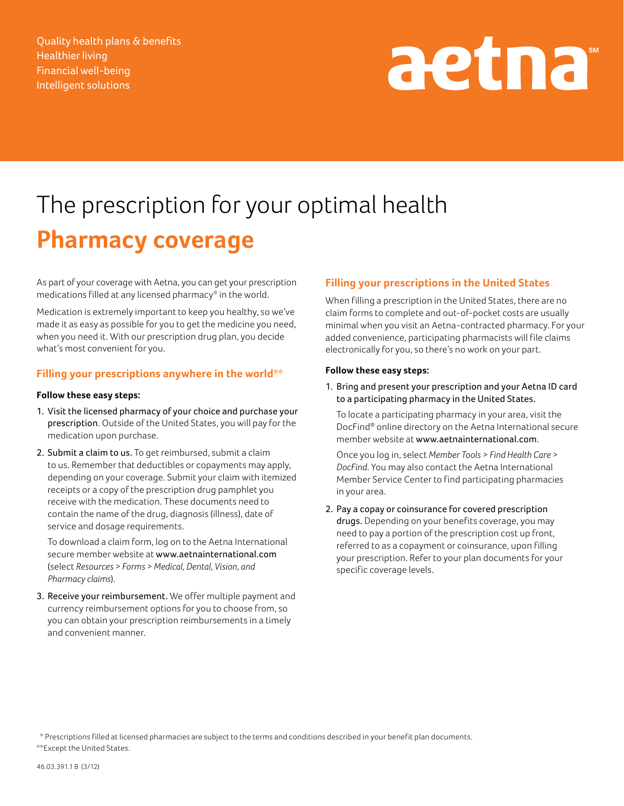Quality health plans & benefits Healthier living Financial well-being Intelligent solutions

# aetna<sup>®</sup>

## The prescription for your optimal health **Pharmacy coverage**

As part of your coverage with Aetna, you can get your prescription medications filled at any licensed pharmacy\* in the world.

Medication is extremely important to keep you healthy, so we've made it as easy as possible for you to get the medicine you need, when you need it. With our prescription drug plan, you decide what's most convenient for you.

#### **Filling your prescriptions anywhere in the world\*\***

#### **Follow these easy steps:**

- 1. Visit the licensed pharmacy of your choice and purchase your prescription. Outside of the United States, you will pay for the medication upon purchase.
- 2. Submit a claim to us. To get reimbursed, submit a claim to us. Remember that deductibles or copayments may apply, depending on your coverage. Submit your claim with itemized receipts or a copy of the prescription drug pamphlet you receive with the medication. These documents need to contain the name of the drug, diagnosis (illness), date of service and dosage requirements.

 To download a claim form, log on to the Aetna International secure member website at www.aetnainternational.com (select *Resources > Forms > Medical, Dental, Vision, and Pharmacy claims*).

3. Receive your reimbursement. We offer multiple payment and currency reimbursement options for you to choose from, so you can obtain your prescription reimbursements in a timely and convenient manner.

#### **Filling your prescriptions in the United States**

When filling a prescription in the United States, there are no claim forms to complete and out-of-pocket costs are usually minimal when you visit an Aetna-contracted pharmacy. For your added convenience, participating pharmacists will file claims electronically for you, so there's no work on your part.

#### **Follow these easy steps:**

1. Bring and present your prescription and your Aetna ID card to a participating pharmacy in the United States.

 To locate a participating pharmacy in your area, visit the DocFind® online directory on the Aetna International secure member website at www.aetnainternational.com.

 Once you log in, select *Member Tools > Find Health Care > DocFind*. You may also contact the Aetna International Member Service Center to find participating pharmacies in your area.

2. Pay a copay or coinsurance for covered prescription drugs. Depending on your benefits coverage, you may need to pay a portion of the prescription cost up front, referred to as a copayment or coinsurance, upon filling your prescription. Refer to your plan documents for your specific coverage levels.

<sup>\*</sup> Prescriptions filled at licensed pharmacies are subject to the terms and conditions described in your benefit plan documents. \*\*Except the United States.